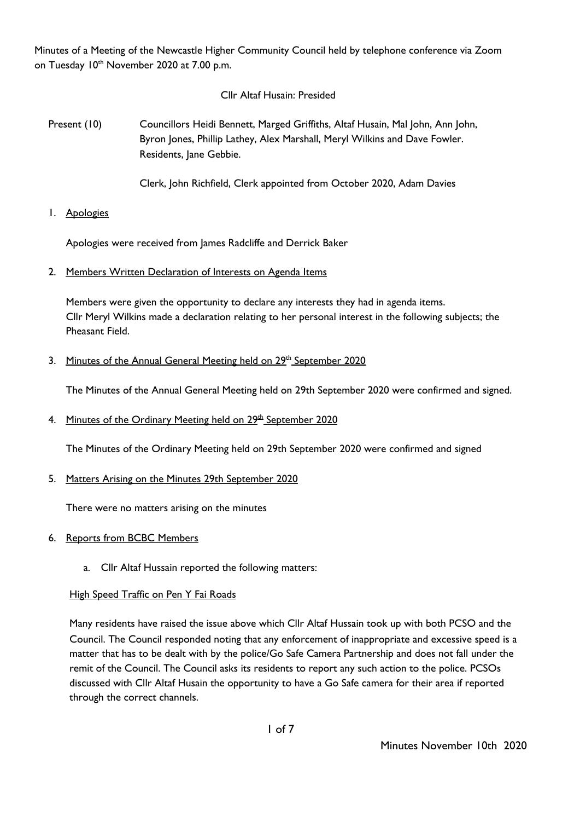Minutes of a Meeting of the Newcastle Higher Community Council held by telephone conference via Zoom on Tuesday 10<sup>th</sup> November 2020 at 7.00 p.m.

# Cllr Altaf Husain: Presided

Present (10) Councillors Heidi Bennett, Marged Griffiths, Altaf Husain, Mal John, Ann John, Byron Jones, Phillip Lathey, Alex Marshall, Meryl Wilkins and Dave Fowler. Residents, Jane Gebbie.

Clerk, John Richfield, Clerk appointed from October 2020, Adam Davies

1. Apologies

Apologies were received from James Radcliffe and Derrick Baker

2. Members Written Declaration of Interests on Agenda Items

Members were given the opportunity to declare any interests they had in agenda items. Cllr Meryl Wilkins made a declaration relating to her personal interest in the following subjects; the Pheasant Field.

3. Minutes of the Annual General Meeting held on 29<sup>th</sup> September 2020

The Minutes of the Annual General Meeting held on 29th September 2020 were confirmed and signed.

4. Minutes of the Ordinary Meeting held on 29<sup>th</sup> September 2020

The Minutes of the Ordinary Meeting held on 29th September 2020 were confirmed and signed

### 5. Matters Arising on the Minutes 29th September 2020

There were no matters arising on the minutes

### 6. Reports from BCBC Members

a. Cllr Altaf Hussain reported the following matters:

# **High Speed Traffic on Pen Y Fai Roads**

Many residents have raised the issue above which Cllr Altaf Hussain took up with both PCSO and the Council. The Council responded noting that any enforcement of inappropriate and excessive speed is a matter that has to be dealt with by the police/Go Safe Camera Partnership and does not fall under the remit of the Council. The Council asks its residents to report any such action to the police. PCSOs discussed with Cllr Altaf Husain the opportunity to have a Go Safe camera for their area if reported through the correct channels.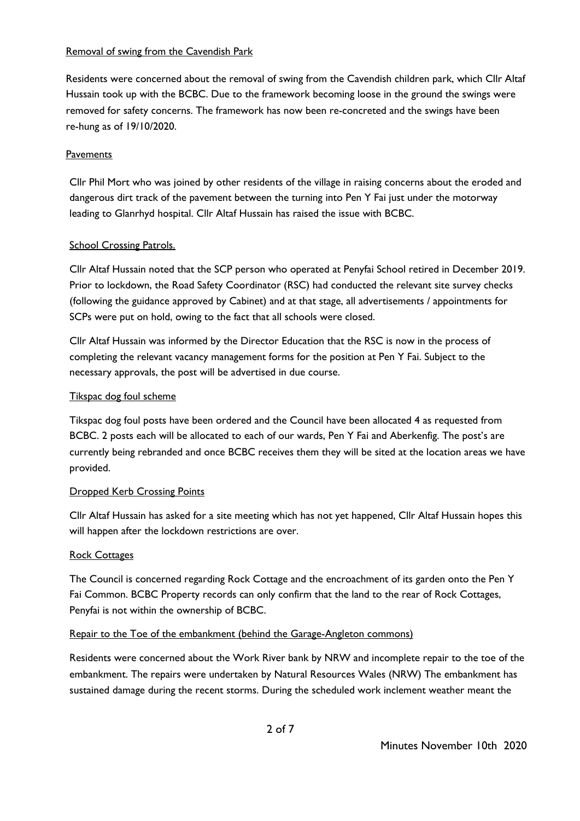## Removal of swing from the Cavendish Park

Residents were concerned about the removal of swing from the Cavendish children park, which Cllr Altaf Hussain took up with the BCBC. Due to the framework becoming loose in the ground the swings were removed for safety concerns. The framework has now been re-concreted and the swings have been re-hung as of 19/10/2020.

# **Pavements**

Cllr Phil Mort who was joined by other residents of the village in raising concerns about the eroded and dangerous dirt track of the pavement between the turning into Pen Y Fai just under the motorway leading to Glanrhyd hospital. Cllr Altaf Hussain has raised the issue with BCBC.

## School Crossing Patrols.

Cllr Altaf Hussain noted that the SCP person who operated at Penyfai School retired in December 2019. Prior to lockdown, the Road Safety Coordinator (RSC) had conducted the relevant site survey checks (following the guidance approved by Cabinet) and at that stage, all advertisements / appointments for SCPs were put on hold, owing to the fact that all schools were closed.

Cllr Altaf Hussain was informed by the Director Education that the RSC is now in the process of completing the relevant vacancy management forms for the position at Pen Y Fai. Subject to the necessary approvals, the post will be advertised in due course.

## Tikspac dog foul scheme

Tikspac dog foul posts have been ordered and the Council have been allocated 4 as requested from BCBC. 2 posts each will be allocated to each of our wards, Pen Y Fai and Aberkenfig. The post's are currently being rebranded and once BCBC receives them they will be sited at the location areas we have provided.

### **Dropped Kerb Crossing Points**

Cllr Altaf Hussain has asked for a site meeting which has not yet happened, Cllr Altaf Hussain hopes this will happen after the lockdown restrictions are over.

### Rock Cottages

The Council is concerned regarding Rock Cottage and the encroachment of its garden onto the Pen Y Fai Common. BCBC Property records can only confirm that the land to the rear of Rock Cottages, Penyfai is not within the ownership of BCBC.

### Repair to the Toe of the embankment (behind the Garage-Angleton commons)

Residents were concerned about the Work River bank by NRW and incomplete repair to the toe of the embankment. The repairs were undertaken by Natural Resources Wales (NRW) The embankment has sustained damage during the recent storms. During the scheduled work inclement weather meant the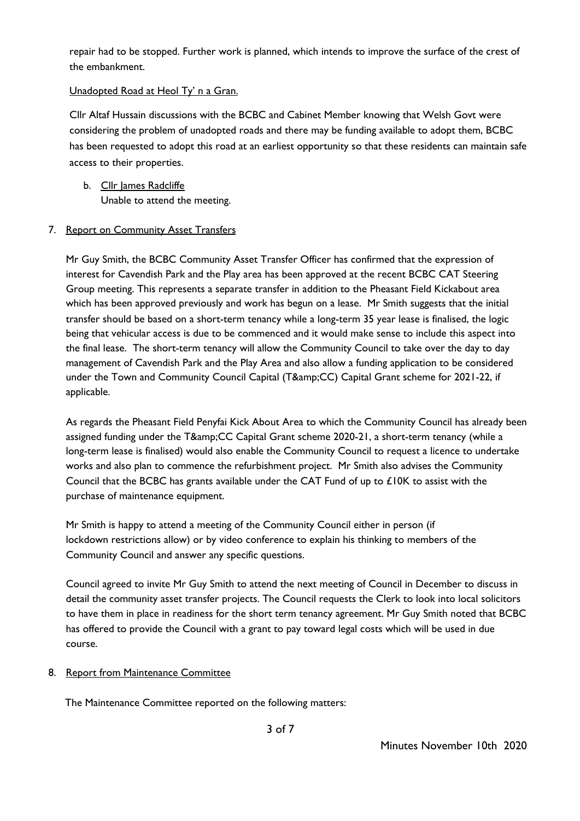repair had to be stopped. Further work is planned, which intends to improve the surface of the crest of the embankment.

# Unadopted Road at Heol Ty' n a Gran.

Cllr Altaf Hussain discussions with the BCBC and Cabinet Member knowing that Welsh Govt were considering the problem of unadopted roads and there may be funding available to adopt them, BCBC has been requested to adopt this road at an earliest opportunity so that these residents can maintain safe access to their properties.

b. Cllr James Radcliffe Unable to attend the meeting.

## 7. Report on Community Asset Transfers

Mr Guy Smith, the BCBC Community Asset Transfer Officer has confirmed that the expression of interest for Cavendish Park and the Play area has been approved at the recent BCBC CAT Steering Group meeting. This represents a separate transfer in addition to the Pheasant Field Kickabout area which has been approved previously and work has begun on a lease. Mr Smith suggests that the initial transfer should be based on a short-term tenancy while a long-term 35 year lease is finalised, the logic being that vehicular access is due to be commenced and it would make sense to include this aspect into the final lease. The short-term tenancy will allow the Community Council to take over the day to day management of Cavendish Park and the Play Area and also allow a funding application to be considered under the Town and Community Council Capital (T&CC) Capital Grant scheme for 2021-22, if applicable.

As regards the Pheasant Field Penyfai Kick About Area to which the Community Council has already been assigned funding under the T&CC Capital Grant scheme 2020-21, a short-term tenancy (while a long-term lease is finalised) would also enable the Community Council to request a licence to undertake works and also plan to commence the refurbishment project. Mr Smith also advises the Community Council that the BCBC has grants available under the CAT Fund of up to £10K to assist with the purchase of maintenance equipment.

Mr Smith is happy to attend a meeting of the Community Council either in person (if lockdown restrictions allow) or by video conference to explain his thinking to members of the Community Council and answer any specific questions.

Council agreed to invite Mr Guy Smith to attend the next meeting of Council in December to discuss in detail the community asset transfer projects. The Council requests the Clerk to look into local solicitors to have them in place in readiness for the short term tenancy agreement. Mr Guy Smith noted that BCBC has offered to provide the Council with a grant to pay toward legal costs which will be used in due course.

### 8. Report from Maintenance Committee

The Maintenance Committee reported on the following matters: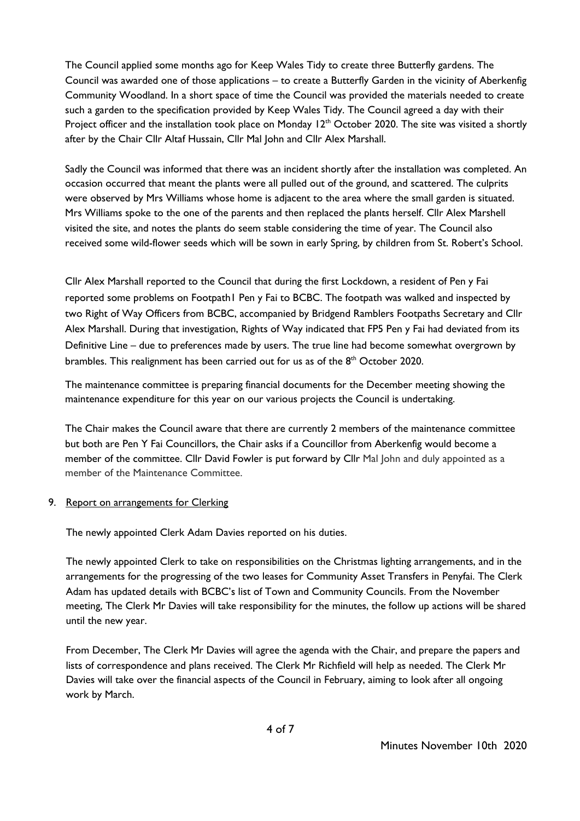The Council applied some months ago for Keep Wales Tidy to create three Butterfly gardens. The Council was awarded one of those applications – to create a Butterfly Garden in the vicinity of Aberkenfig Community Woodland. In a short space of time the Council was provided the materials needed to create such a garden to the specification provided by Keep Wales Tidy. The Council agreed a day with their Project officer and the installation took place on Monday 12<sup>th</sup> October 2020. The site was visited a shortly after by the Chair Cllr Altaf Hussain, Cllr Mal John and Cllr Alex Marshall.

Sadly the Council was informed that there was an incident shortly after the installation was completed. An occasion occurred that meant the plants were all pulled out of the ground, and scattered. The culprits were observed by Mrs Williams whose home is adjacent to the area where the small garden is situated. Mrs Williams spoke to the one of the parents and then replaced the plants herself. Cllr Alex Marshell visited the site, and notes the plants do seem stable considering the time of year. The Council also received some wild-flower seeds which will be sown in early Spring, by children from St. Robert's School.

Cllr Alex Marshall reported to the Council that during the first Lockdown, a resident of Pen y Fai reported some problems on Footpath1 Pen y Fai to BCBC. The footpath was walked and inspected by two Right of Way Officers from BCBC, accompanied by Bridgend Ramblers Footpaths Secretary and Cllr Alex Marshall. During that investigation, Rights of Way indicated that FP5 Pen y Fai had deviated from its Definitive Line – due to preferences made by users. The true line had become somewhat overgrown by brambles. This realignment has been carried out for us as of the 8<sup>th</sup> October 2020.

The maintenance committee is preparing financial documents for the December meeting showing the maintenance expenditure for this year on our various projects the Council is undertaking.

The Chair makes the Council aware that there are currently 2 members of the maintenance committee but both are Pen Y Fai Councillors, the Chair asks if a Councillor from Aberkenfig would become a member of the committee. Cllr David Fowler is put forward by Cllr Mal John and duly appointed as a member of the Maintenance Committee.

### 9. Report on arrangements for Clerking

The newly appointed Clerk Adam Davies reported on his duties.

The newly appointed Clerk to take on responsibilities on the Christmas lighting arrangements, and in the arrangements for the progressing of the two leases for Community Asset Transfers in Penyfai. The Clerk Adam has updated details with BCBC's list of Town and Community Councils. From the November meeting, The Clerk Mr Davies will take responsibility for the minutes, the follow up actions will be shared until the new year.

From December, The Clerk Mr Davies will agree the agenda with the Chair, and prepare the papers and lists of correspondence and plans received. The Clerk Mr Richfield will help as needed. The Clerk Mr Davies will take over the financial aspects of the Council in February, aiming to look after all ongoing work by March.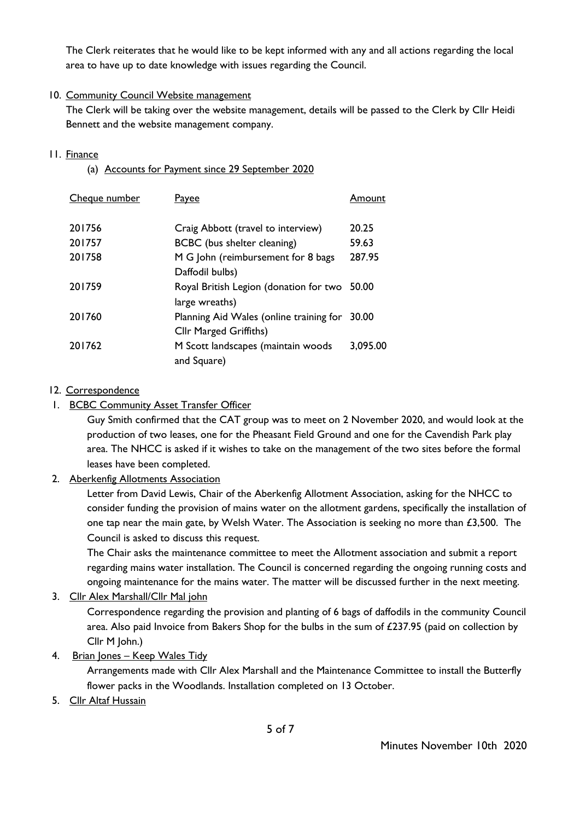The Clerk reiterates that he would like to be kept informed with any and all actions regarding the local area to have up to date knowledge with issues regarding the Council.

# 10. Community Council Website management

The Clerk will be taking over the website management, details will be passed to the Clerk by Cllr Heidi Bennett and the website management company.

# 11. Finance

(a) Accounts for Payment since 29 September 2020

| Cheque number | Payee                                   | Amount   |
|---------------|-----------------------------------------|----------|
|               |                                         |          |
| 201756        | Craig Abbott (travel to interview)      | 20.25    |
| 201757        | BCBC (bus shelter cleaning)             | 59.63    |
| 201758        | M G John (reimbursement for 8 bags      | 287.95   |
|               | Daffodil bulbs)                         |          |
| 201759        | Royal British Legion (donation for two  | 50.00    |
|               | large wreaths)                          |          |
| 201760        | Planning Aid Wales (online training for | 30.00    |
|               | Cllr Marged Griffiths)                  |          |
| 201762        | M Scott landscapes (maintain woods      | 3.095.00 |
|               | and Square)                             |          |

# 12. Correspondence

# 1. BCBC Community Asset Transfer Officer

Guy Smith confirmed that the CAT group was to meet on 2 November 2020, and would look at the production of two leases, one for the Pheasant Field Ground and one for the Cavendish Park play area. The NHCC is asked if it wishes to take on the management of the two sites before the formal leases have been completed.

# 2. Aberkenfig Allotments Association

Letter from David Lewis, Chair of the Aberkenfig Allotment Association, asking for the NHCC to consider funding the provision of mains water on the allotment gardens, specifically the installation of one tap near the main gate, by Welsh Water. The Association is seeking no more than £3,500. The Council is asked to discuss this request.

The Chair asks the maintenance committee to meet the Allotment association and submit a report regarding mains water installation. The Council is concerned regarding the ongoing running costs and ongoing maintenance for the mains water. The matter will be discussed further in the next meeting.

# 3. Cllr Alex Marshall/Cllr Mal john

Correspondence regarding the provision and planting of 6 bags of daffodils in the community Council area. Also paid Invoice from Bakers Shop for the bulbs in the sum of £237.95 (paid on collection by Cllr M John.)

# 4. Brian Jones – Keep Wales Tidy

Arrangements made with Cllr Alex Marshall and the Maintenance Committee to install the Butterfly flower packs in the Woodlands. Installation completed on 13 October.

5. Cllr Altaf Hussain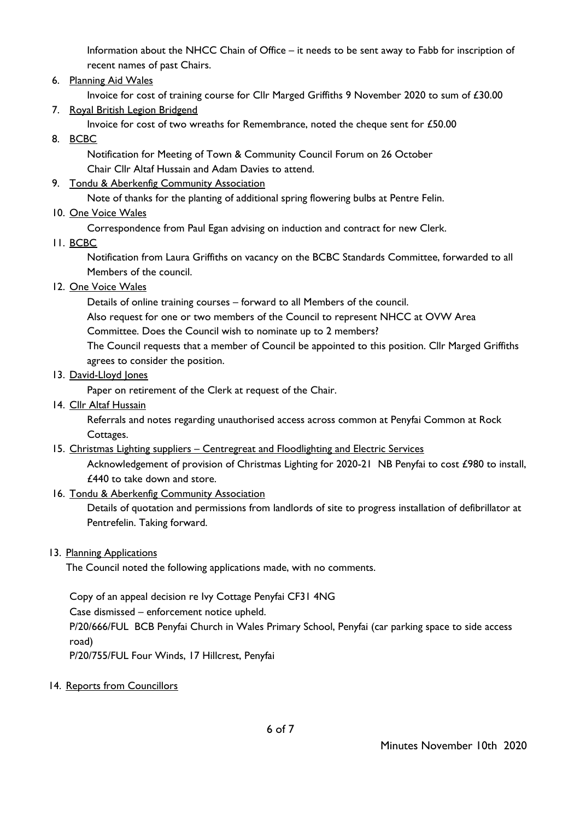Information about the NHCC Chain of Office – it needs to be sent away to Fabb for inscription of recent names of past Chairs.

6. Planning Aid Wales

Invoice for cost of training course for Cllr Marged Griffiths 9 November 2020 to sum of £30.00

7. Royal British Legion Bridgend

Invoice for cost of two wreaths for Remembrance, noted the cheque sent for £50.00

8. BCBC

Notification for Meeting of Town & Community Council Forum on 26 October Chair Cllr Altaf Hussain and Adam Davies to attend.

# 9. Tondu & Aberkenfig Community Association

Note of thanks for the planting of additional spring flowering bulbs at Pentre Felin.

10. One Voice Wales

Correspondence from Paul Egan advising on induction and contract for new Clerk.

11. BCBC

Notification from Laura Griffiths on vacancy on the BCBC Standards Committee, forwarded to all Members of the council.

12. One Voice Wales

Details of online training courses – forward to all Members of the council.

Also request for one or two members of the Council to represent NHCC at OVW Area

Committee. Does the Council wish to nominate up to 2 members?

The Council requests that a member of Council be appointed to this position. Cllr Marged Griffiths agrees to consider the position.

## 13. David-Lloyd Jones

Paper on retirement of the Clerk at request of the Chair.

14. Cllr Altaf Hussain

Referrals and notes regarding unauthorised access across common at Penyfai Common at Rock Cottages.

# 15. Christmas Lighting suppliers – Centregreat and Floodlighting and Electric Services

Acknowledgement of provision of Christmas Lighting for 2020-21 NB Penyfai to cost £980 to install, £440 to take down and store.

# 16. Tondu & Aberkenfig Community Association

Details of quotation and permissions from landlords of site to progress installation of defibrillator at Pentrefelin. Taking forward.

### 13. Planning Applications

The Council noted the following applications made, with no comments.

Copy of an appeal decision re Ivy Cottage Penyfai CF31 4NG

Case dismissed – enforcement notice upheld.

P/20/666/FUL BCB Penyfai Church in Wales Primary School, Penyfai (car parking space to side access road)

P/20/755/FUL Four Winds, 17 Hillcrest, Penyfai

### 14. Reports from Councillors